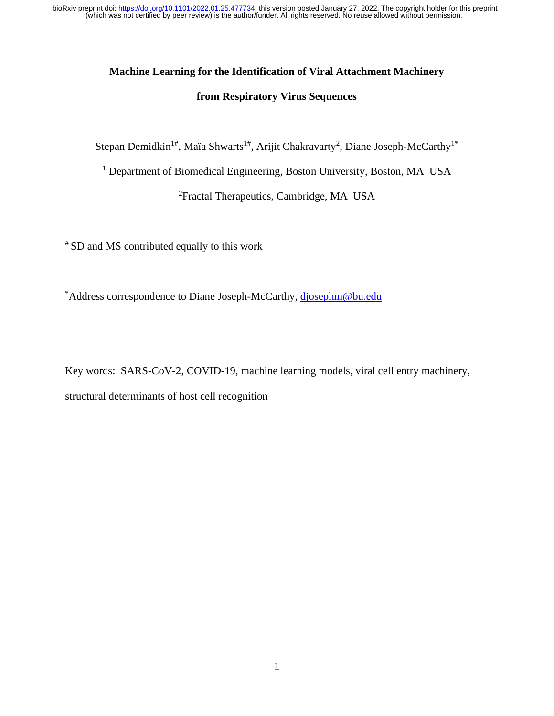# **Machine Learning for the Identification of Viral Attachment Machinery**

### **from Respiratory Virus Sequences**

Stepan Demidkin<sup>1#</sup>, Maïa Shwarts<sup>1#</sup>, Arijit Chakravarty<sup>2</sup>, Diane Joseph-McCarthy<sup>1\*</sup>

<sup>1</sup> Department of Biomedical Engineering, Boston University, Boston, MA USA

<sup>2</sup>Fractal Therapeutics, Cambridge, MA USA

# SD and MS contributed equally to this work

\*Address correspondence to Diane Joseph-McCarthy, [djosephm@bu.edu](mailto:djosephm@bu.edu)

Key words: SARS-CoV-2, COVID-19, machine learning models, viral cell entry machinery, structural determinants of host cell recognition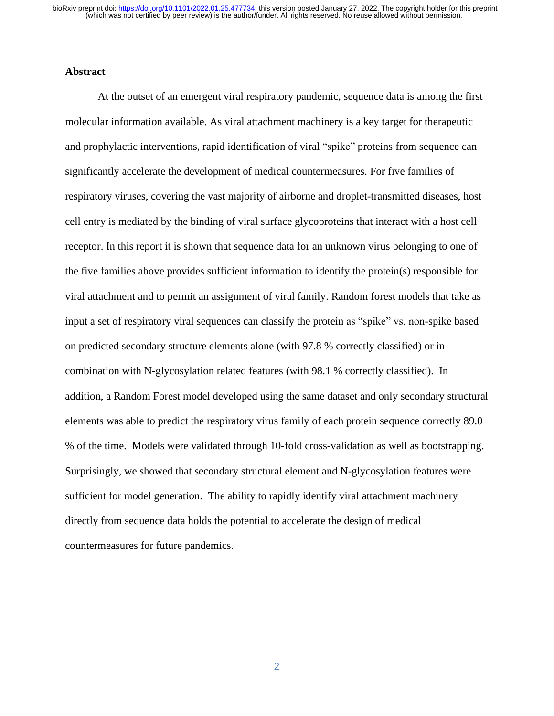#### **Abstract**

At the outset of an emergent viral respiratory pandemic, sequence data is among the first molecular information available. As viral attachment machinery is a key target for therapeutic and prophylactic interventions, rapid identification of viral "spike" proteins from sequence can significantly accelerate the development of medical countermeasures. For five families of respiratory viruses, covering the vast majority of airborne and droplet-transmitted diseases, host cell entry is mediated by the binding of viral surface glycoproteins that interact with a host cell receptor. In this report it is shown that sequence data for an unknown virus belonging to one of the five families above provides sufficient information to identify the protein(s) responsible for viral attachment and to permit an assignment of viral family. Random forest models that take as input a set of respiratory viral sequences can classify the protein as "spike" vs. non-spike based on predicted secondary structure elements alone (with 97.8 % correctly classified) or in combination with N-glycosylation related features (with 98.1 % correctly classified). In addition, a Random Forest model developed using the same dataset and only secondary structural elements was able to predict the respiratory virus family of each protein sequence correctly 89.0 % of the time. Models were validated through 10-fold cross-validation as well as bootstrapping. Surprisingly, we showed that secondary structural element and N-glycosylation features were sufficient for model generation. The ability to rapidly identify viral attachment machinery directly from sequence data holds the potential to accelerate the design of medical countermeasures for future pandemics.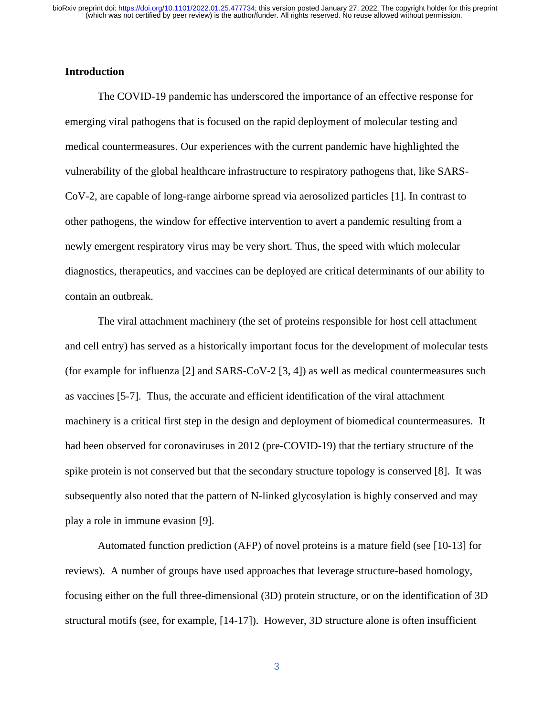#### **Introduction**

The COVID-19 pandemic has underscored the importance of an effective response for emerging viral pathogens that is focused on the rapid deployment of molecular testing and medical countermeasures. Our experiences with the current pandemic have highlighted the vulnerability of the global healthcare infrastructure to respiratory pathogens that, like SARS-CoV-2, are capable of long-range airborne spread via aerosolized particles [1]. In contrast to other pathogens, the window for effective intervention to avert a pandemic resulting from a newly emergent respiratory virus may be very short. Thus, the speed with which molecular diagnostics, therapeutics, and vaccines can be deployed are critical determinants of our ability to contain an outbreak.

The viral attachment machinery (the set of proteins responsible for host cell attachment and cell entry) has served as a historically important focus for the development of molecular tests (for example for influenza [2] and SARS-CoV-2 [3, 4]) as well as medical countermeasures such as vaccines [5-7]. Thus, the accurate and efficient identification of the viral attachment machinery is a critical first step in the design and deployment of biomedical countermeasures. It had been observed for coronaviruses in 2012 (pre-COVID-19) that the tertiary structure of the spike protein is not conserved but that the secondary structure topology is conserved [8]. It was subsequently also noted that the pattern of N-linked glycosylation is highly conserved and may play a role in immune evasion [9].

Automated function prediction (AFP) of novel proteins is a mature field (see [10-13] for reviews). A number of groups have used approaches that leverage structure-based homology, focusing either on the full three-dimensional (3D) protein structure, or on the identification of 3D structural motifs (see, for example, [14-17]). However, 3D structure alone is often insufficient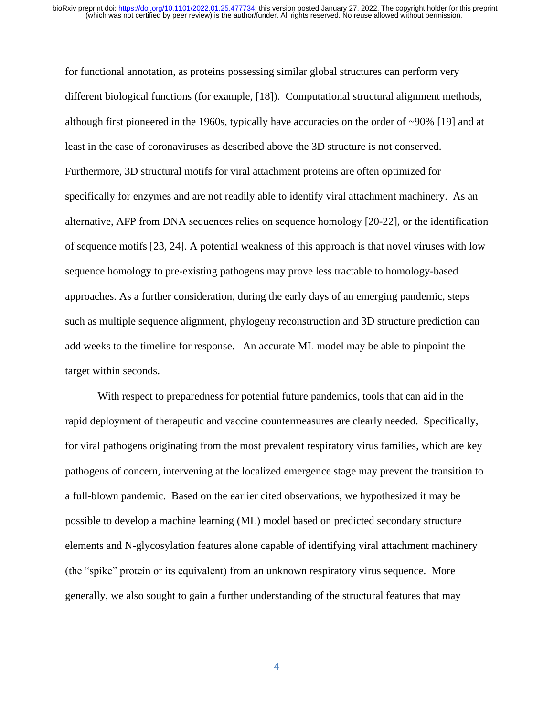for functional annotation, as proteins possessing similar global structures can perform very different biological functions (for example, [18]). Computational structural alignment methods, although first pioneered in the 1960s, typically have accuracies on the order of  $\sim$ 90% [19] and at least in the case of coronaviruses as described above the 3D structure is not conserved. Furthermore, 3D structural motifs for viral attachment proteins are often optimized for specifically for enzymes and are not readily able to identify viral attachment machinery. As an alternative, AFP from DNA sequences relies on sequence homology [20-22], or the identification of sequence motifs [23, 24]. A potential weakness of this approach is that novel viruses with low sequence homology to pre-existing pathogens may prove less tractable to homology-based approaches. As a further consideration, during the early days of an emerging pandemic, steps such as multiple sequence alignment, phylogeny reconstruction and 3D structure prediction can add weeks to the timeline for response. An accurate ML model may be able to pinpoint the target within seconds.

With respect to preparedness for potential future pandemics, tools that can aid in the rapid deployment of therapeutic and vaccine countermeasures are clearly needed. Specifically, for viral pathogens originating from the most prevalent respiratory virus families, which are key pathogens of concern, intervening at the localized emergence stage may prevent the transition to a full-blown pandemic. Based on the earlier cited observations, we hypothesized it may be possible to develop a machine learning (ML) model based on predicted secondary structure elements and N-glycosylation features alone capable of identifying viral attachment machinery (the "spike" protein or its equivalent) from an unknown respiratory virus sequence. More generally, we also sought to gain a further understanding of the structural features that may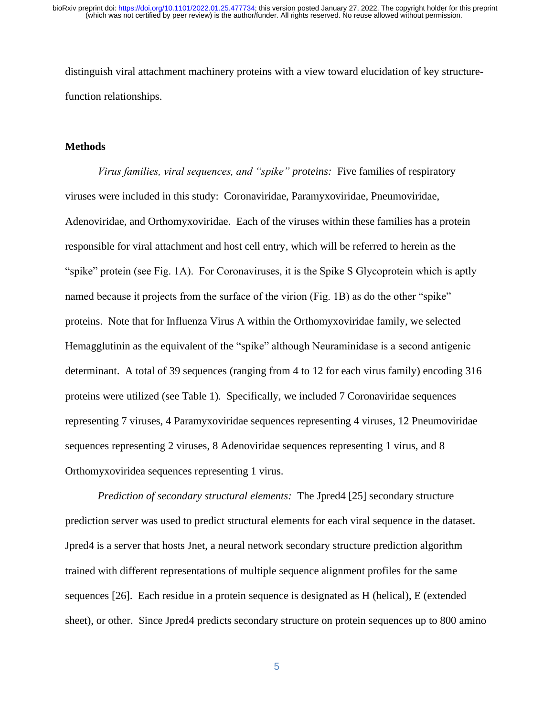distinguish viral attachment machinery proteins with a view toward elucidation of key structurefunction relationships.

#### **Methods**

*Virus families, viral sequences, and "spike" proteins:* Five families of respiratory viruses were included in this study: Coronaviridae, Paramyxoviridae, Pneumoviridae, Adenoviridae, and Orthomyxoviridae. Each of the viruses within these families has a protein responsible for viral attachment and host cell entry, which will be referred to herein as the "spike" protein (see Fig. 1A). For Coronaviruses, it is the Spike S Glycoprotein which is aptly named because it projects from the surface of the virion (Fig. 1B) as do the other "spike" proteins. Note that for Influenza Virus A within the Orthomyxoviridae family, we selected Hemagglutinin as the equivalent of the "spike" although Neuraminidase is a second antigenic determinant. A total of 39 sequences (ranging from 4 to 12 for each virus family) encoding 316 proteins were utilized (see Table 1). Specifically, we included 7 Coronaviridae sequences representing 7 viruses, 4 Paramyxoviridae sequences representing 4 viruses, 12 Pneumoviridae sequences representing 2 viruses, 8 Adenoviridae sequences representing 1 virus, and 8 Orthomyxoviridea sequences representing 1 virus.

*Prediction of secondary structural elements:* The Jpred4 [25] secondary structure prediction server was used to predict structural elements for each viral sequence in the dataset. Jpred4 is a server that hosts Jnet, a neural network secondary structure prediction algorithm trained with different representations of multiple sequence alignment profiles for the same sequences [26]. Each residue in a protein sequence is designated as H (helical), E (extended sheet), or other. Since Jpred4 predicts secondary structure on protein sequences up to 800 amino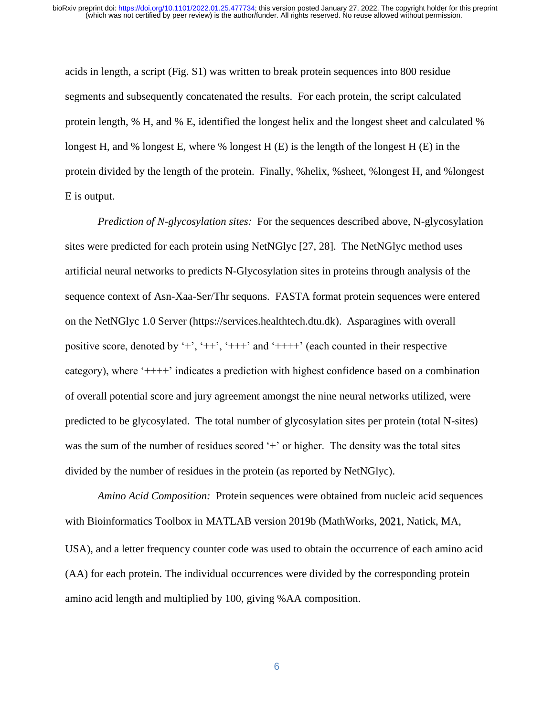acids in length, a script (Fig. S1) was written to break protein sequences into 800 residue segments and subsequently concatenated the results. For each protein, the script calculated protein length, % H, and % E, identified the longest helix and the longest sheet and calculated % longest H, and % longest E, where % longest H (E) is the length of the longest H (E) in the protein divided by the length of the protein. Finally, %helix, %sheet, %longest H, and %longest E is output.

*Prediction of N-glycosylation sites:* For the sequences described above, N-glycosylation sites were predicted for each protein using NetNGlyc [27, 28]. The NetNGlyc method uses artificial neural networks to predicts N-Glycosylation sites in proteins through analysis of the sequence context of Asn-Xaa-Ser/Thr sequons. FASTA format protein sequences were entered on the NetNGlyc 1.0 Server (https://services.healthtech.dtu.dk). Asparagines with overall positive score, denoted by '+', '++', '+++' and '++++' (each counted in their respective category), where '++++' indicates a prediction with highest confidence based on a combination of overall potential score and jury agreement amongst the nine neural networks utilized, were predicted to be glycosylated. The total number of glycosylation sites per protein (total N-sites) was the sum of the number of residues scored '+' or higher. The density was the total sites divided by the number of residues in the protein (as reported by NetNGlyc).

*Amino Acid Composition:* Protein sequences were obtained from nucleic acid sequences with Bioinformatics Toolbox in MATLAB version 2019b (MathWorks, 2021, Natick, MA, USA), and a letter frequency counter code was used to obtain the occurrence of each amino acid (AA) for each protein. The individual occurrences were divided by the corresponding protein amino acid length and multiplied by 100, giving %AA composition.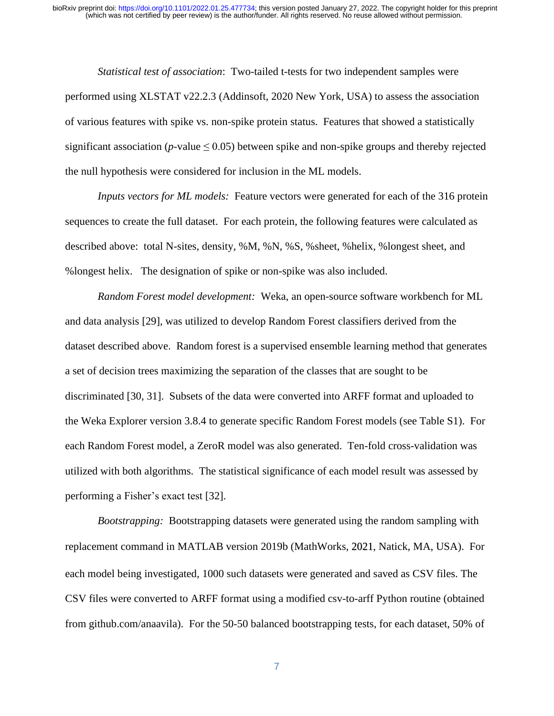*Statistical test of association*: Two-tailed t-tests for two independent samples were performed using XLSTAT v22.2.3 (Addinsoft, 2020 New York, USA) to assess the association of various features with spike vs. non-spike protein status. Features that showed a statistically significant association ( $p$ -value  $\leq$  0.05) between spike and non-spike groups and thereby rejected the null hypothesis were considered for inclusion in the ML models.

*Inputs vectors for ML models:* Feature vectors were generated for each of the 316 protein sequences to create the full dataset. For each protein, the following features were calculated as described above: total N-sites, density, %M, %N, %S, %sheet, %helix, %longest sheet, and %longest helix. The designation of spike or non-spike was also included.

*Random Forest model development:* Weka, an open-source software workbench for ML and data analysis [29], was utilized to develop Random Forest classifiers derived from the dataset described above. Random forest is a supervised ensemble learning method that generates a set of decision trees maximizing the separation of the classes that are sought to be discriminated [30, 31]. Subsets of the data were converted into ARFF format and uploaded to the Weka Explorer version 3.8.4 to generate specific Random Forest models (see Table S1). For each Random Forest model, a ZeroR model was also generated. Ten-fold cross-validation was utilized with both algorithms. The statistical significance of each model result was assessed by performing a Fisher's exact test [32].

*Bootstrapping:* Bootstrapping datasets were generated using the random sampling with replacement command in MATLAB version 2019b (MathWorks, 2021, Natick, MA, USA). For each model being investigated, 1000 such datasets were generated and saved as CSV files. The CSV files were converted to ARFF format using a modified csv-to-arff Python routine (obtained from github.com/anaavila). For the 50-50 balanced bootstrapping tests, for each dataset, 50% of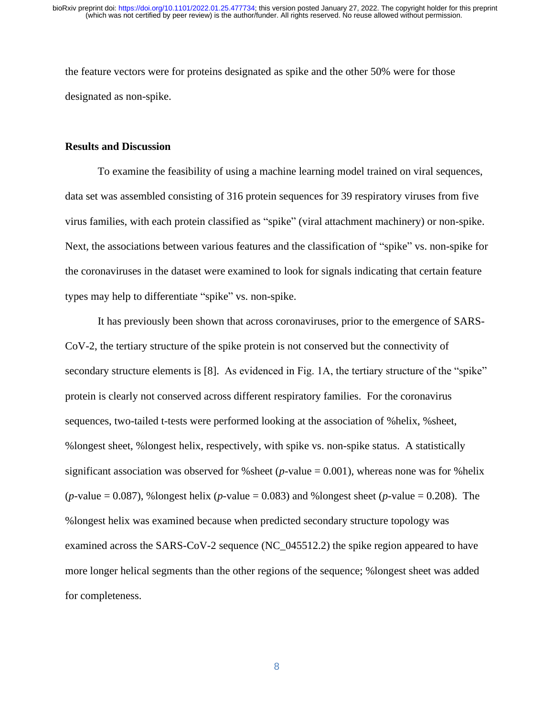the feature vectors were for proteins designated as spike and the other 50% were for those designated as non-spike.

#### **Results and Discussion**

To examine the feasibility of using a machine learning model trained on viral sequences, data set was assembled consisting of 316 protein sequences for 39 respiratory viruses from five virus families, with each protein classified as "spike" (viral attachment machinery) or non-spike. Next, the associations between various features and the classification of "spike" vs. non-spike for the coronaviruses in the dataset were examined to look for signals indicating that certain feature types may help to differentiate "spike" vs. non-spike.

It has previously been shown that across coronaviruses, prior to the emergence of SARS-CoV-2, the tertiary structure of the spike protein is not conserved but the connectivity of secondary structure elements is [8]. As evidenced in Fig. 1A, the tertiary structure of the "spike" protein is clearly not conserved across different respiratory families. For the coronavirus sequences, two-tailed t-tests were performed looking at the association of %helix, %sheet, %longest sheet, %longest helix, respectively, with spike vs. non-spike status. A statistically significant association was observed for %sheet ( $p$ -value = 0.001), whereas none was for %helix (*p*-value = 0.087), %longest helix (*p*-value = 0.083) and %longest sheet (*p*-value = 0.208). The %longest helix was examined because when predicted secondary structure topology was examined across the SARS-CoV-2 sequence (NC\_045512.2) the spike region appeared to have more longer helical segments than the other regions of the sequence; %longest sheet was added for completeness.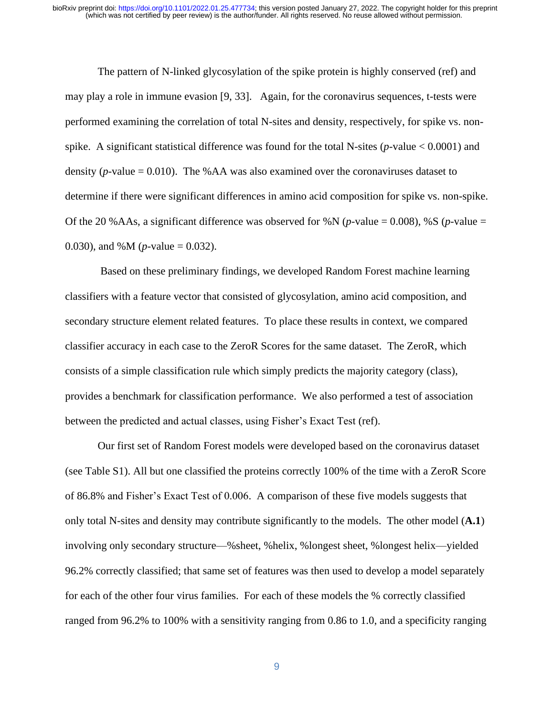The pattern of N-linked glycosylation of the spike protein is highly conserved (ref) and may play a role in immune evasion [9, 33]. Again, for the coronavirus sequences, t-tests were performed examining the correlation of total N-sites and density, respectively, for spike vs. nonspike. A significant statistical difference was found for the total N-sites (*p*-value < 0.0001) and density ( $p$ -value = 0.010). The %AA was also examined over the coronaviruses dataset to determine if there were significant differences in amino acid composition for spike vs. non-spike. Of the 20 %AAs, a significant difference was observed for %N (*p*-value = 0.008), %S (*p*-value = 0.030), and %M (*p*-value = 0.032).

Based on these preliminary findings, we developed Random Forest machine learning classifiers with a feature vector that consisted of glycosylation, amino acid composition, and secondary structure element related features. To place these results in context, we compared classifier accuracy in each case to the ZeroR Scores for the same dataset. The ZeroR, which consists of a simple classification rule which simply predicts the majority category (class), provides a benchmark for classification performance. We also performed a test of association between the predicted and actual classes, using Fisher's Exact Test (ref).

Our first set of Random Forest models were developed based on the coronavirus dataset (see Table S1). All but one classified the proteins correctly 100% of the time with a ZeroR Score of 86.8% and Fisher's Exact Test of 0.006. A comparison of these five models suggests that only total N-sites and density may contribute significantly to the models. The other model (**A.1**) involving only secondary structure—%sheet, %helix, %longest sheet, %longest helix—yielded 96.2% correctly classified; that same set of features was then used to develop a model separately for each of the other four virus families. For each of these models the % correctly classified ranged from 96.2% to 100% with a sensitivity ranging from 0.86 to 1.0, and a specificity ranging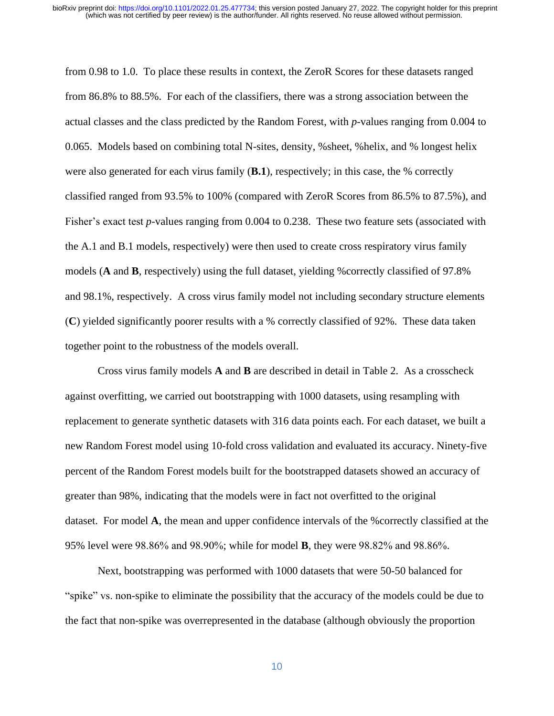from 0.98 to 1.0. To place these results in context, the ZeroR Scores for these datasets ranged from 86.8% to 88.5%. For each of the classifiers, there was a strong association between the actual classes and the class predicted by the Random Forest, with *p*-values ranging from 0.004 to 0.065. Models based on combining total N-sites, density, %sheet, %helix, and % longest helix were also generated for each virus family (**B.1**), respectively; in this case, the % correctly classified ranged from 93.5% to 100% (compared with ZeroR Scores from 86.5% to 87.5%), and Fisher's exact test *p*-values ranging from 0.004 to 0.238. These two feature sets (associated with the A.1 and B.1 models, respectively) were then used to create cross respiratory virus family models (**A** and **B**, respectively) using the full dataset, yielding %correctly classified of 97.8% and 98.1%, respectively. A cross virus family model not including secondary structure elements (**C**) yielded significantly poorer results with a % correctly classified of 92%.These data taken together point to the robustness of the models overall.

Cross virus family models **A** and **B** are described in detail in Table 2. As a crosscheck against overfitting, we carried out bootstrapping with 1000 datasets, using resampling with replacement to generate synthetic datasets with 316 data points each. For each dataset, we built a new Random Forest model using 10-fold cross validation and evaluated its accuracy. Ninety-five percent of the Random Forest models built for the bootstrapped datasets showed an accuracy of greater than 98%, indicating that the models were in fact not overfitted to the original dataset. For model **A**, the mean and upper confidence intervals of the %correctly classified at the 95% level were 98.86% and 98.90%; while for model **B**, they were 98.82% and 98.86%.

Next, bootstrapping was performed with 1000 datasets that were 50-50 balanced for "spike" vs. non-spike to eliminate the possibility that the accuracy of the models could be due to the fact that non-spike was overrepresented in the database (although obviously the proportion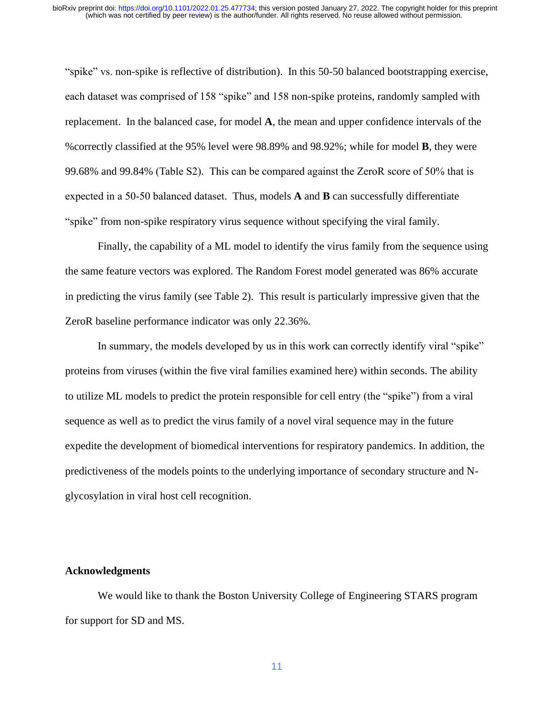"spike" vs. non-spike is reflective of distribution). In this 50-50 balanced bootstrapping exercise, each dataset was comprised of 158 "spike" and 158 non-spike proteins, randomly sampled with replacement. In the balanced case, for model **A**, the mean and upper confidence intervals of the %correctly classified at the 95% level were 98.89% and 98.92%; while for model **B**, they were 99.68% and 99.84% (Table S2). This can be compared against the ZeroR score of 50% that is expected in a 50-50 balanced dataset. Thus, models **A** and **B** can successfully differentiate "spike" from non-spike respiratory virus sequence without specifying the viral family.

Finally, the capability of a ML model to identify the virus family from the sequence using the same feature vectors was explored. The Random Forest model generated was 86% accurate in predicting the virus family (see Table 2). This result is particularly impressive given that the ZeroR baseline performance indicator was only 22.36%.

In summary, the models developed by us in this work can correctly identify viral "spike" proteins from viruses (within the five viral families examined here) within seconds. The ability to utilize ML models to predict the protein responsible for cell entry (the "spike") from a viral sequence as well as to predict the virus family of a novel viral sequence may in the future expedite the development of biomedical interventions for respiratory pandemics. In addition, the predictiveness of the models points to the underlying importance of secondary structure and Nglycosylation in viral host cell recognition.

#### **Acknowledgments**

We would like to thank the Boston University College of Engineering STARS program for support for SD and MS.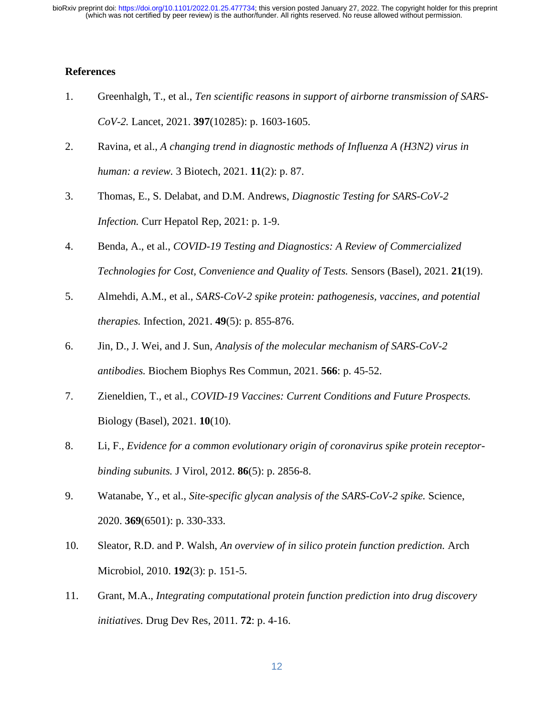### **References**

- 1. Greenhalgh, T., et al., *Ten scientific reasons in support of airborne transmission of SARS-CoV-2.* Lancet, 2021. **397**(10285): p. 1603-1605.
- 2. Ravina, et al., *A changing trend in diagnostic methods of Influenza A (H3N2) virus in human: a review.* 3 Biotech, 2021. **11**(2): p. 87.
- 3. Thomas, E., S. Delabat, and D.M. Andrews, *Diagnostic Testing for SARS-CoV-2 Infection.* Curr Hepatol Rep, 2021: p. 1-9.
- 4. Benda, A., et al., *COVID-19 Testing and Diagnostics: A Review of Commercialized Technologies for Cost, Convenience and Quality of Tests.* Sensors (Basel), 2021. **21**(19).
- 5. Almehdi, A.M., et al., *SARS-CoV-2 spike protein: pathogenesis, vaccines, and potential therapies.* Infection, 2021. **49**(5): p. 855-876.
- 6. Jin, D., J. Wei, and J. Sun, *Analysis of the molecular mechanism of SARS-CoV-2 antibodies.* Biochem Biophys Res Commun, 2021. **566**: p. 45-52.
- 7. Zieneldien, T., et al., *COVID-19 Vaccines: Current Conditions and Future Prospects.* Biology (Basel), 2021. **10**(10).
- 8. Li, F., *Evidence for a common evolutionary origin of coronavirus spike protein receptorbinding subunits.* J Virol, 2012. **86**(5): p. 2856-8.
- 9. Watanabe, Y., et al., *Site-specific glycan analysis of the SARS-CoV-2 spike.* Science, 2020. **369**(6501): p. 330-333.
- 10. Sleator, R.D. and P. Walsh, *An overview of in silico protein function prediction.* Arch Microbiol, 2010. **192**(3): p. 151-5.
- 11. Grant, M.A., *Integrating computational protein function prediction into drug discovery initiatives.* Drug Dev Res, 2011. **72**: p. 4-16.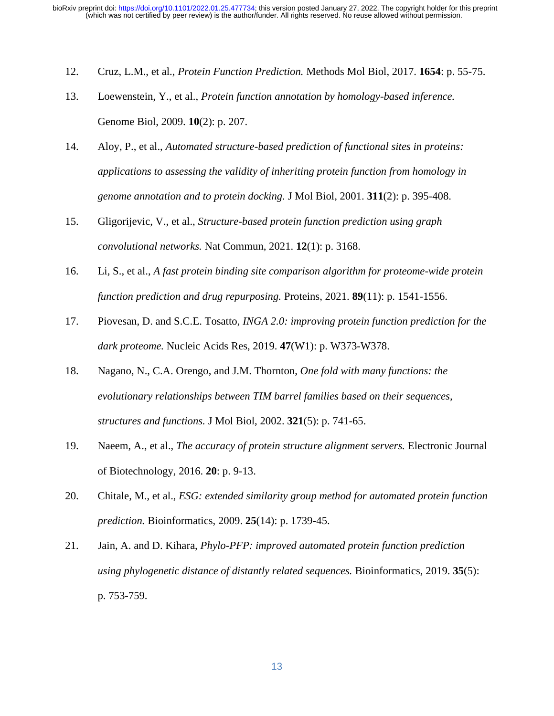- 12. Cruz, L.M., et al., *Protein Function Prediction.* Methods Mol Biol, 2017. **1654**: p. 55-75.
- 13. Loewenstein, Y., et al., *Protein function annotation by homology-based inference.* Genome Biol, 2009. **10**(2): p. 207.
- 14. Aloy, P., et al., *Automated structure-based prediction of functional sites in proteins: applications to assessing the validity of inheriting protein function from homology in genome annotation and to protein docking.* J Mol Biol, 2001. **311**(2): p. 395-408.
- 15. Gligorijevic, V., et al., *Structure-based protein function prediction using graph convolutional networks.* Nat Commun, 2021. **12**(1): p. 3168.
- 16. Li, S., et al., *A fast protein binding site comparison algorithm for proteome-wide protein function prediction and drug repurposing.* Proteins, 2021. **89**(11): p. 1541-1556.
- 17. Piovesan, D. and S.C.E. Tosatto, *INGA 2.0: improving protein function prediction for the dark proteome.* Nucleic Acids Res, 2019. **47**(W1): p. W373-W378.
- 18. Nagano, N., C.A. Orengo, and J.M. Thornton, *One fold with many functions: the evolutionary relationships between TIM barrel families based on their sequences, structures and functions.* J Mol Biol, 2002. **321**(5): p. 741-65.
- 19. Naeem, A., et al., *The accuracy of protein structure alignment servers.* Electronic Journal of Biotechnology, 2016. **20**: p. 9-13.
- 20. Chitale, M., et al., *ESG: extended similarity group method for automated protein function prediction.* Bioinformatics, 2009. **25**(14): p. 1739-45.
- 21. Jain, A. and D. Kihara, *Phylo-PFP: improved automated protein function prediction using phylogenetic distance of distantly related sequences.* Bioinformatics, 2019. **35**(5): p. 753-759.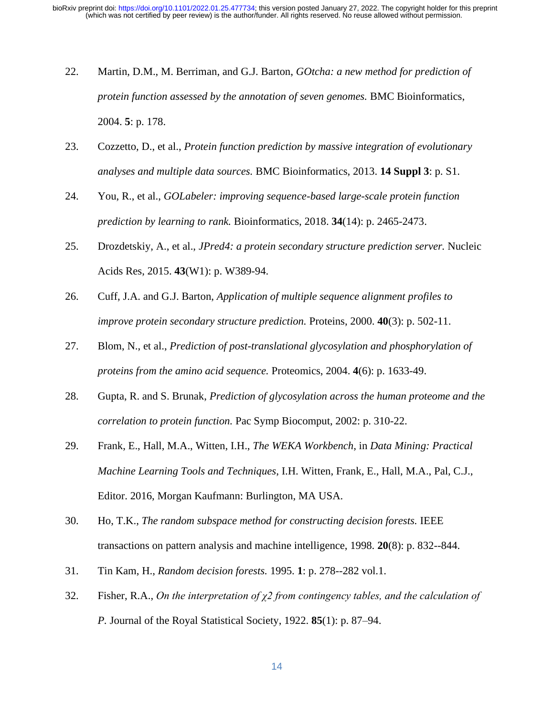- 22. Martin, D.M., M. Berriman, and G.J. Barton, *GOtcha: a new method for prediction of protein function assessed by the annotation of seven genomes.* BMC Bioinformatics, 2004. **5**: p. 178.
- 23. Cozzetto, D., et al., *Protein function prediction by massive integration of evolutionary analyses and multiple data sources.* BMC Bioinformatics, 2013. **14 Suppl 3**: p. S1.
- 24. You, R., et al., *GOLabeler: improving sequence-based large-scale protein function prediction by learning to rank.* Bioinformatics, 2018. **34**(14): p. 2465-2473.
- 25. Drozdetskiy, A., et al., *JPred4: a protein secondary structure prediction server.* Nucleic Acids Res, 2015. **43**(W1): p. W389-94.
- 26. Cuff, J.A. and G.J. Barton, *Application of multiple sequence alignment profiles to improve protein secondary structure prediction.* Proteins, 2000. **40**(3): p. 502-11.
- 27. Blom, N., et al., *Prediction of post-translational glycosylation and phosphorylation of proteins from the amino acid sequence.* Proteomics, 2004. **4**(6): p. 1633-49.
- 28. Gupta, R. and S. Brunak, *Prediction of glycosylation across the human proteome and the correlation to protein function.* Pac Symp Biocomput, 2002: p. 310-22.
- 29. Frank, E., Hall, M.A., Witten, I.H., *The WEKA Workbench*, in *Data Mining: Practical Machine Learning Tools and Techniques*, I.H. Witten, Frank, E., Hall, M.A., Pal, C.J., Editor. 2016, Morgan Kaufmann: Burlington, MA USA.
- 30. Ho, T.K., *The random subspace method for constructing decision forests.* IEEE transactions on pattern analysis and machine intelligence, 1998. **20**(8): p. 832--844.
- 31. Tin Kam, H., *Random decision forests.* 1995. **1**: p. 278--282 vol.1.
- 32. Fisher, R.A., *On the interpretation of χ2 from contingency tables, and the calculation of P.* Journal of the Royal Statistical Society, 1922. **85**(1): p. 87–94.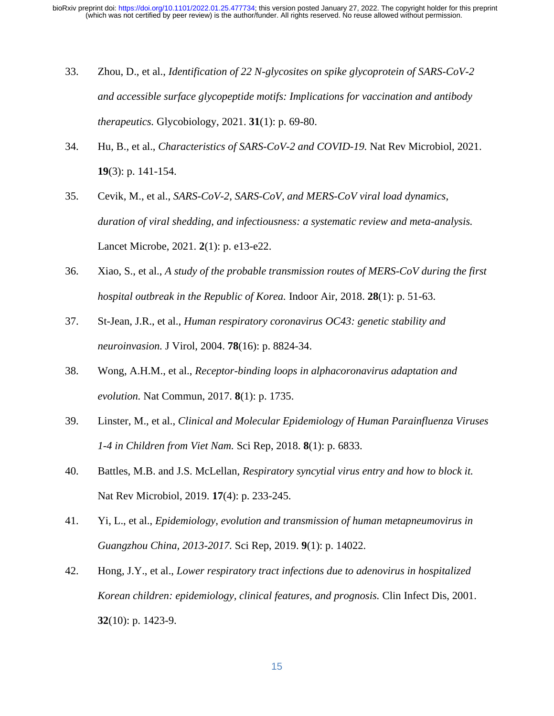- 33. Zhou, D., et al., *Identification of 22 N-glycosites on spike glycoprotein of SARS-CoV-2 and accessible surface glycopeptide motifs: Implications for vaccination and antibody therapeutics.* Glycobiology, 2021. **31**(1): p. 69-80.
- 34. Hu, B., et al., *Characteristics of SARS-CoV-2 and COVID-19.* Nat Rev Microbiol, 2021. **19**(3): p. 141-154.
- 35. Cevik, M., et al., *SARS-CoV-2, SARS-CoV, and MERS-CoV viral load dynamics, duration of viral shedding, and infectiousness: a systematic review and meta-analysis.* Lancet Microbe, 2021. **2**(1): p. e13-e22.
- 36. Xiao, S., et al., *A study of the probable transmission routes of MERS-CoV during the first hospital outbreak in the Republic of Korea.* Indoor Air, 2018. **28**(1): p. 51-63.
- 37. St-Jean, J.R., et al., *Human respiratory coronavirus OC43: genetic stability and neuroinvasion.* J Virol, 2004. **78**(16): p. 8824-34.
- 38. Wong, A.H.M., et al., *Receptor-binding loops in alphacoronavirus adaptation and evolution.* Nat Commun, 2017. **8**(1): p. 1735.
- 39. Linster, M., et al., *Clinical and Molecular Epidemiology of Human Parainfluenza Viruses 1-4 in Children from Viet Nam.* Sci Rep, 2018. **8**(1): p. 6833.
- 40. Battles, M.B. and J.S. McLellan, *Respiratory syncytial virus entry and how to block it.* Nat Rev Microbiol, 2019. **17**(4): p. 233-245.
- 41. Yi, L., et al., *Epidemiology, evolution and transmission of human metapneumovirus in Guangzhou China, 2013-2017.* Sci Rep, 2019. **9**(1): p. 14022.
- 42. Hong, J.Y., et al., *Lower respiratory tract infections due to adenovirus in hospitalized Korean children: epidemiology, clinical features, and prognosis.* Clin Infect Dis, 2001. **32**(10): p. 1423-9.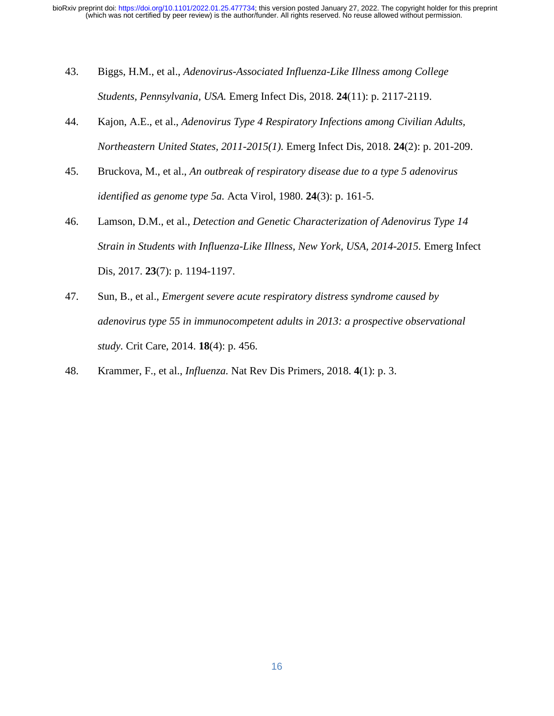- 43. Biggs, H.M., et al., *Adenovirus-Associated Influenza-Like Illness among College Students, Pennsylvania, USA.* Emerg Infect Dis, 2018. **24**(11): p. 2117-2119.
- 44. Kajon, A.E., et al., *Adenovirus Type 4 Respiratory Infections among Civilian Adults, Northeastern United States, 2011-2015(1).* Emerg Infect Dis, 2018. **24**(2): p. 201-209.
- 45. Bruckova, M., et al., *An outbreak of respiratory disease due to a type 5 adenovirus identified as genome type 5a.* Acta Virol, 1980. **24**(3): p. 161-5.
- 46. Lamson, D.M., et al., *Detection and Genetic Characterization of Adenovirus Type 14 Strain in Students with Influenza-Like Illness, New York, USA, 2014-2015.* Emerg Infect Dis, 2017. **23**(7): p. 1194-1197.
- 47. Sun, B., et al., *Emergent severe acute respiratory distress syndrome caused by adenovirus type 55 in immunocompetent adults in 2013: a prospective observational study.* Crit Care, 2014. **18**(4): p. 456.
- 48. Krammer, F., et al., *Influenza.* Nat Rev Dis Primers, 2018. **4**(1): p. 3.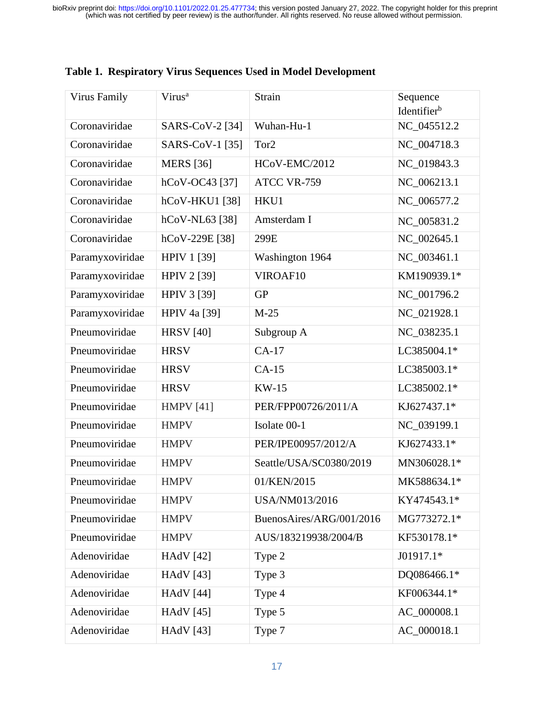| <b>Virus Family</b> | Virus <sup>a</sup>  | Strain                   | Sequence<br>Identifierb |
|---------------------|---------------------|--------------------------|-------------------------|
| Coronaviridae       | SARS-CoV-2 [34]     | Wuhan-Hu-1               | NC_045512.2             |
| Coronaviridae       | SARS-CoV-1 [35]     | Tor <sub>2</sub>         | NC_004718.3             |
| Coronaviridae       | <b>MERS</b> [36]    | HCoV-EMC/2012            | NC_019843.3             |
| Coronaviridae       | hCoV-OC43 [37]      | ATCC VR-759              | NC_006213.1             |
| Coronaviridae       | hCoV-HKU1 [38]      | HKU1                     | NC 006577.2             |
| Coronaviridae       | hCoV-NL63 [38]      | Amsterdam I              | NC_005831.2             |
| Coronaviridae       | hCoV-229E [38]      | 299E                     | NC_002645.1             |
| Paramyxoviridae     | <b>HPIV 1 [39]</b>  | Washington 1964          | NC_003461.1             |
| Paramyxoviridae     | <b>HPIV 2 [39]</b>  | VIROAF10                 | KM190939.1*             |
| Paramyxoviridae     | <b>HPIV 3 [39]</b>  | <b>GP</b>                | NC_001796.2             |
| Paramyxoviridae     | <b>HPIV 4a [39]</b> | $M-25$                   | NC 021928.1             |
| Pneumoviridae       | <b>HRSV</b> [40]    | Subgroup A               | NC 038235.1             |
| Pneumoviridae       | <b>HRSV</b>         | $CA-17$                  | LC385004.1*             |
| Pneumoviridae       | <b>HRSV</b>         | $CA-15$                  | LC385003.1*             |
| Pneumoviridae       | <b>HRSV</b>         | <b>KW-15</b>             | LC385002.1*             |
| Pneumoviridae       | <b>HMPV</b> [41]    | PER/FPP00726/2011/A      | KJ627437.1*             |
| Pneumoviridae       | <b>HMPV</b>         | Isolate 00-1             | NC_039199.1             |
| Pneumoviridae       | <b>HMPV</b>         | PER/IPE00957/2012/A      | KJ627433.1*             |
| Pneumoviridae       | <b>HMPV</b>         | Seattle/USA/SC0380/2019  | MN306028.1*             |
| Pneumoviridae       | <b>HMPV</b>         | 01/KEN/2015              | MK588634.1*             |
| Pneumoviridae       | <b>HMPV</b>         | USA/NM013/2016           | KY474543.1*             |
| Pneumoviridae       | <b>HMPV</b>         | BuenosAires/ARG/001/2016 | MG773272.1*             |
| Pneumoviridae       | <b>HMPV</b>         | AUS/183219938/2004/B     | KF530178.1*             |
| Adenoviridae        | <b>HAdV</b> [42]    | Type 2                   | J01917.1*               |
| Adenoviridae        | <b>HAdV</b> [43]    | Type 3                   | DQ086466.1*             |
| Adenoviridae        | <b>HAdV</b> [44]    | Type 4                   | KF006344.1*             |
| Adenoviridae        | <b>HAdV</b> [45]    | Type 5                   | AC_000008.1             |
| Adenoviridae        | <b>HAdV</b> [43]    | Type 7                   | AC_000018.1             |

# **Table 1. Respiratory Virus Sequences Used in Model Development**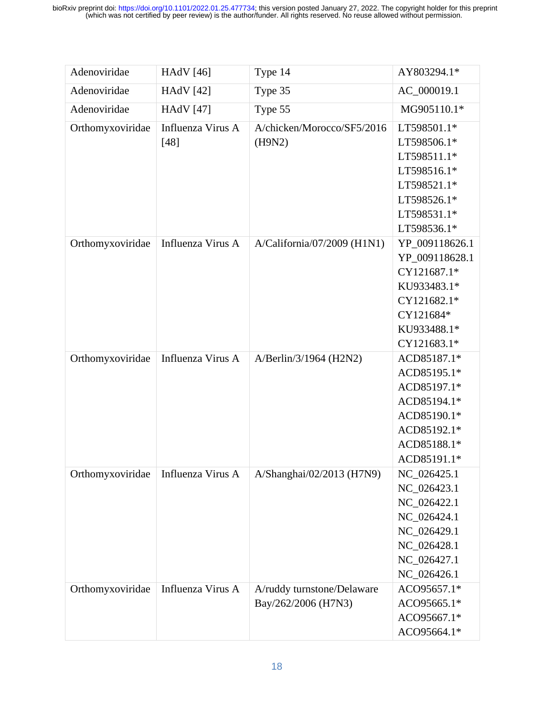| Adenoviridae     | <b>HAdV</b> [46]            | Type 14                                           | AY803294.1*                                                                                                              |
|------------------|-----------------------------|---------------------------------------------------|--------------------------------------------------------------------------------------------------------------------------|
| Adenoviridae     | <b>HAdV</b> [42]            | Type 35                                           | AC_000019.1                                                                                                              |
| Adenoviridae     | <b>HAdV</b> [47]            | Type 55                                           | MG905110.1*                                                                                                              |
| Orthomyxoviridae | Influenza Virus A<br>$[48]$ | A/chicken/Morocco/SF5/2016<br>(H9N2)              | LT598501.1*<br>LT598506.1*<br>LT598511.1*<br>LT598516.1*<br>LT598521.1*<br>LT598526.1*<br>LT598531.1*<br>LT598536.1*     |
| Orthomyxoviridae | Influenza Virus A           | A/California/07/2009 (H1N1)                       | YP_009118626.1<br>YP_009118628.1<br>CY121687.1*<br>KU933483.1*<br>CY121682.1*<br>CY121684*<br>KU933488.1*<br>CY121683.1* |
| Orthomyxoviridae | Influenza Virus A           | A/Berlin/3/1964 (H2N2)                            | ACD85187.1*<br>ACD85195.1*<br>ACD85197.1*<br>ACD85194.1*<br>ACD85190.1*<br>ACD85192.1*<br>ACD85188.1*<br>ACD85191.1*     |
| Orthomyxoviridae | Influenza Virus A           | A/Shanghai/02/2013 (H7N9)                         | NC_026425.1<br>NC_026423.1<br>NC_026422.1<br>NC_026424.1<br>NC_026429.1<br>NC_026428.1<br>NC_026427.1<br>NC_026426.1     |
| Orthomyxoviridae | Influenza Virus A           | A/ruddy turnstone/Delaware<br>Bay/262/2006 (H7N3) | ACO95657.1*<br>ACO95665.1*<br>ACO95667.1*<br>ACO95664.1*                                                                 |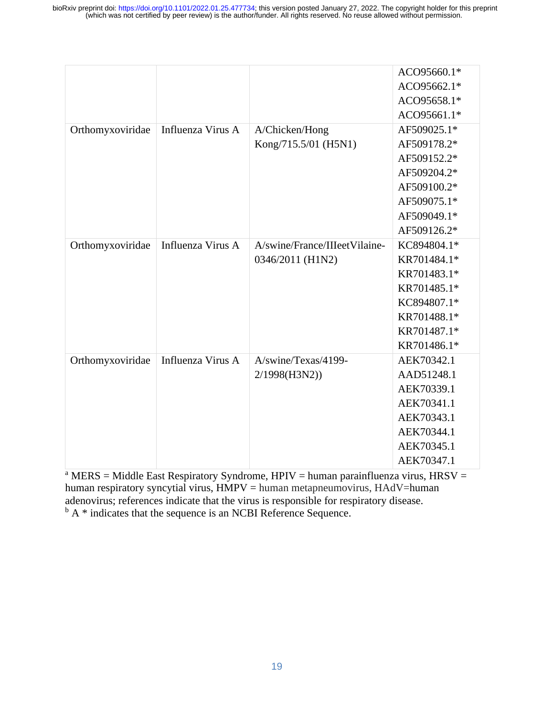|                  |                   |                               | ACO95660.1* |
|------------------|-------------------|-------------------------------|-------------|
|                  |                   |                               | ACO95662.1* |
|                  |                   |                               | ACO95658.1* |
|                  |                   |                               | ACO95661.1* |
| Orthomyxoviridae | Influenza Virus A | A/Chicken/Hong                | AF509025.1* |
|                  |                   | Kong/715.5/01 (H5N1)          | AF509178.2* |
|                  |                   |                               | AF509152.2* |
|                  |                   |                               | AF509204.2* |
|                  |                   |                               | AF509100.2* |
|                  |                   |                               | AF509075.1* |
|                  |                   |                               | AF509049.1* |
|                  |                   |                               | AF509126.2* |
| Orthomyxoviridae | Influenza Virus A | A/swine/France/IIIeetVilaine- | KC894804.1* |
|                  |                   | 0346/2011 (H1N2)              | KR701484.1* |
|                  |                   |                               | KR701483.1* |
|                  |                   |                               | KR701485.1* |
|                  |                   |                               | KC894807.1* |
|                  |                   |                               | KR701488.1* |
|                  |                   |                               | KR701487.1* |
|                  |                   |                               | KR701486.1* |
| Orthomyxoviridae | Influenza Virus A | A/swine/Texas/4199-           | AEK70342.1  |
|                  |                   | 2/1998(H3N2)                  | AAD51248.1  |
|                  |                   |                               | AEK70339.1  |
|                  |                   |                               | AEK70341.1  |
|                  |                   |                               | AEK70343.1  |
|                  |                   |                               | AEK70344.1  |
|                  |                   |                               | AEK70345.1  |
|                  |                   |                               | AEK70347.1  |

<sup>a</sup> MERS = Middle East Respiratory Syndrome, HPIV = human parainfluenza virus, HRSV = human respiratory syncytial virus,  $HMPV =$ human metapneumovirus,  $HAdV =$ human adenovirus; references indicate that the virus is responsible for respiratory disease.  $<sup>b</sup> A * indicate that the sequence is an NCBI Reference Sequence.$ </sup>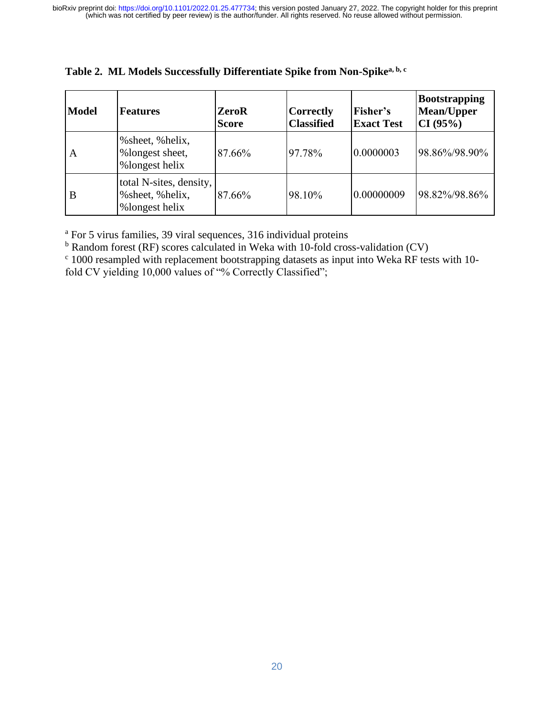| <b>Model</b> | <b>Features</b>                                                | <b>ZeroR</b><br><b>Score</b> | <b>Correctly</b><br><b>Classified</b> | Fisher's<br><b>Exact Test</b> | <b>Bootstrapping</b><br>Mean/Upper<br>CI (95%) |
|--------------|----------------------------------------------------------------|------------------------------|---------------------------------------|-------------------------------|------------------------------------------------|
| A            | % sheet, % helix,<br>%longest sheet,<br>%longest helix         | 87.66%                       | 97.78%                                | 0.0000003                     | 98.86%/98.90%                                  |
| B            | total N-sites, density,<br>% sheet, % helix,<br>%longest helix | 87.66%                       | 98.10%                                | 0.00000009                    | 98.82%/98.86%                                  |

**Table 2. ML Models Successfully Differentiate Spike from Non-Spikea, b, c**

<sup>a</sup> For 5 virus families, 39 viral sequences, 316 individual proteins

<sup>b</sup> Random forest (RF) scores calculated in Weka with 10-fold cross-validation (CV)

<sup>c</sup> 1000 resampled with replacement bootstrapping datasets as input into Weka RF tests with 10fold CV yielding 10,000 values of "% Correctly Classified";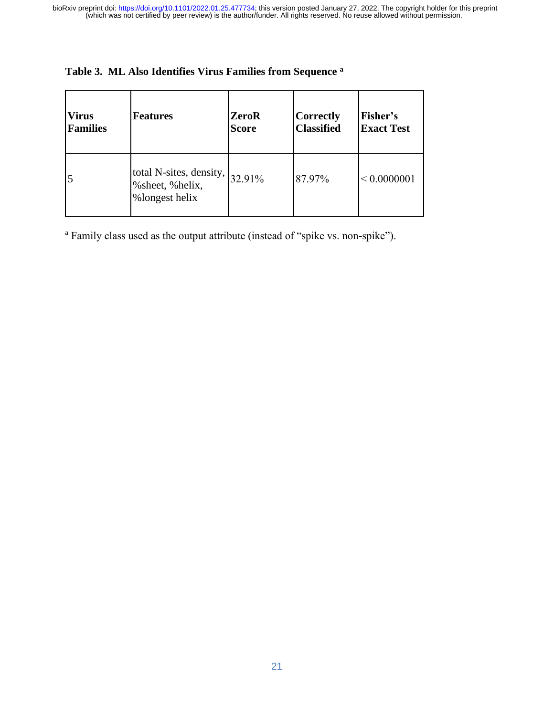| <b>Virus</b>    | <b>Features</b>                                                | <b>ZeroR</b> | <b>Correctly</b>  | Fisher's          |
|-----------------|----------------------------------------------------------------|--------------|-------------------|-------------------|
| <b>Families</b> |                                                                | <b>Score</b> | <b>Classified</b> | <b>Exact Test</b> |
| 5               | total N-sites, density,<br>% sheet, % helix,<br>%longest helix | 32.91%       | 87.97%            | < 0.0000001       |

# **Table 3. ML Also Identifies Virus Families from Sequence <sup>a</sup>**

<sup>a</sup> Family class used as the output attribute (instead of "spike vs. non-spike").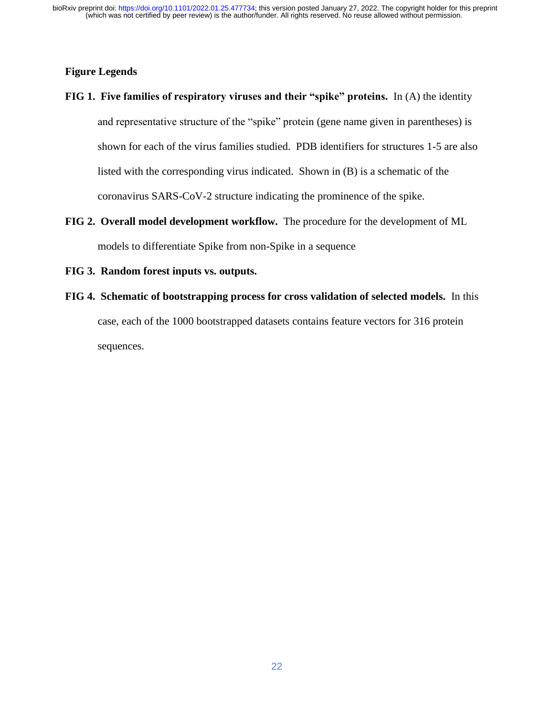## **Figure Legends**

- **FIG 1. Five families of respiratory viruses and their "spike" proteins.** In (A) the identity and representative structure of the "spike" protein (gene name given in parentheses) is shown for each of the virus families studied. PDB identifiers for structures 1-5 are also listed with the corresponding virus indicated. Shown in (B) is a schematic of the coronavirus SARS-CoV-2 structure indicating the prominence of the spike.
- **FIG 2. Overall model development workflow.** The procedure for the development of ML models to differentiate Spike from non-Spike in a sequence
- **FIG 3. Random forest inputs vs. outputs.**
- **FIG 4. Schematic of bootstrapping process for cross validation of selected models.** In this case, each of the 1000 bootstrapped datasets contains feature vectors for 316 protein sequences.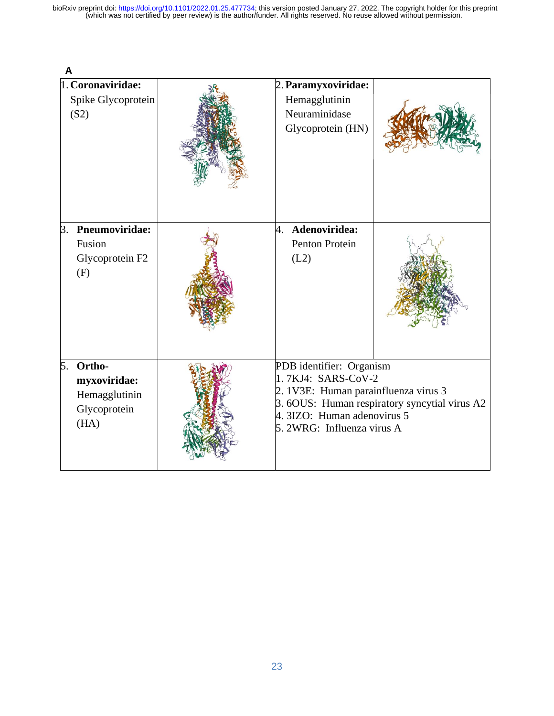|    | 1. Coronaviridae:<br>Spike Glycoprotein<br>(S2)                 | 2. Paramyxoviridae:<br>Hemagglutinin<br>Neuraminidase<br>Glycoprotein (HN)                                                                                                                           |  |
|----|-----------------------------------------------------------------|------------------------------------------------------------------------------------------------------------------------------------------------------------------------------------------------------|--|
| 3. | <b>Pneumoviridae:</b><br>Fusion<br>Glycoprotein F2<br>(F)       | Adenoviridea:<br>4.<br>Penton Protein<br>(L2)                                                                                                                                                        |  |
| 5. | Ortho-<br>myxoviridae:<br>Hemagglutinin<br>Glycoprotein<br>(HA) | PDB identifier: Organism<br>1.7KJ4: SARS-CoV-2<br>2. 1V3E: Human parainfluenza virus 3<br>3. 6OUS: Human respiratory syncytial virus A2<br>4. 3IZO: Human adenovirus 5<br>5. 2WRG: Influenza virus A |  |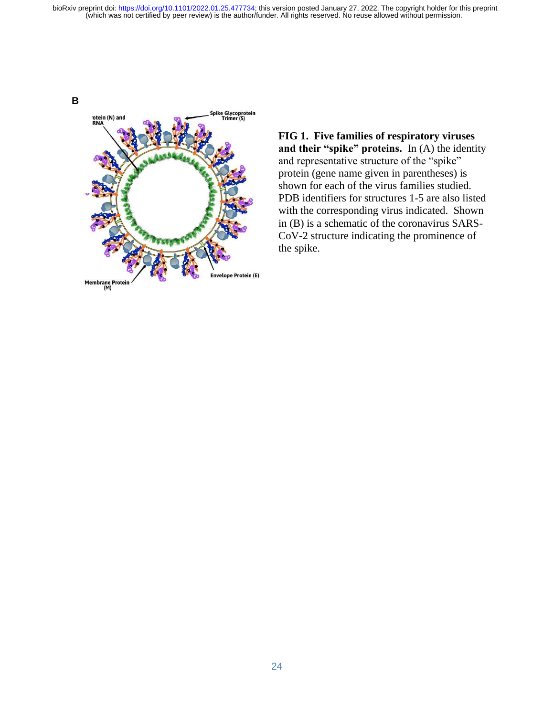

**FIG 1. Five families of respiratory viruses and their "spike" proteins.** In (A) the identity and representative structure of the "spike" protein (gene name given in parentheses) is shown for each of the virus families studied. PDB identifiers for structures 1-5 are also listed with the corresponding virus indicated. Shown in (B) is a schematic of the coronavirus SARS-CoV-2 structure indicating the prominence of the spike.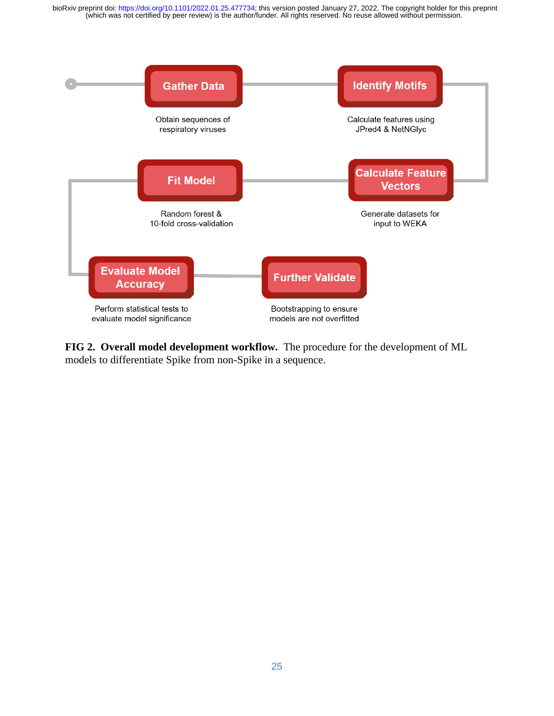

**FIG 2. Overall model development workflow.** The procedure for the development of ML models to differentiate Spike from non-Spike in a sequence.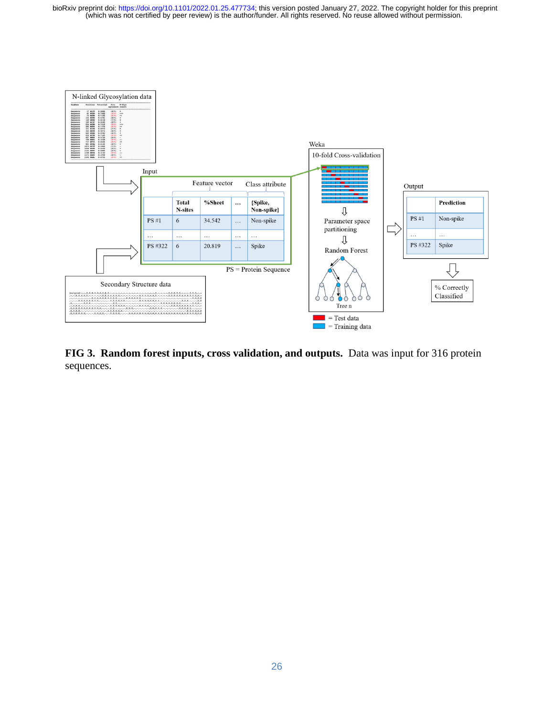

**FIG 3. Random forest inputs, cross validation, and outputs.** Data was input for 316 protein sequences.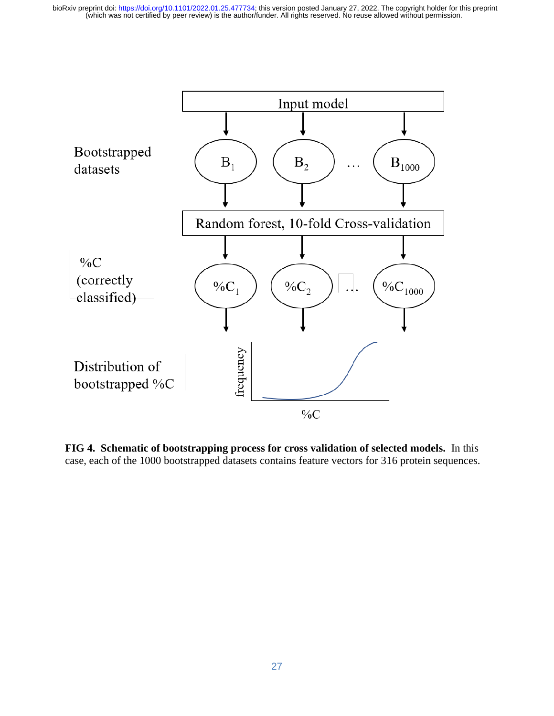

**FIG 4. Schematic of bootstrapping process for cross validation of selected models.** In this case, each of the 1000 bootstrapped datasets contains feature vectors for 316 protein sequences.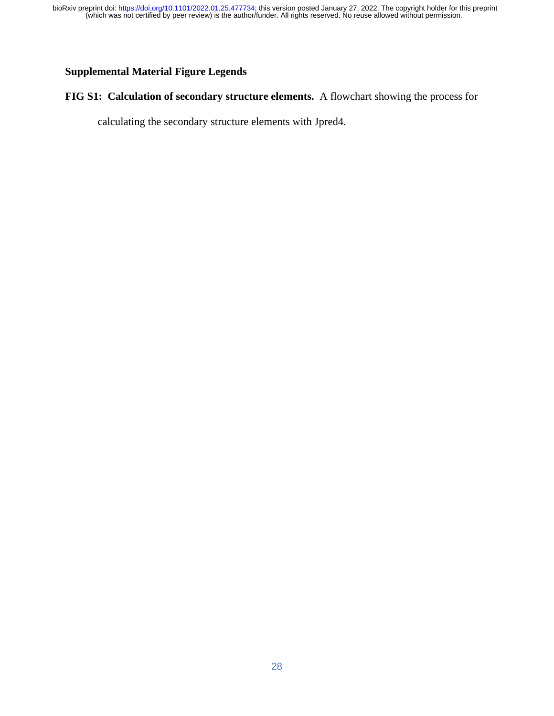# **Supplemental Material Figure Legends**

# **FIG S1: Calculation of secondary structure elements.** A flowchart showing the process for

calculating the secondary structure elements with Jpred4.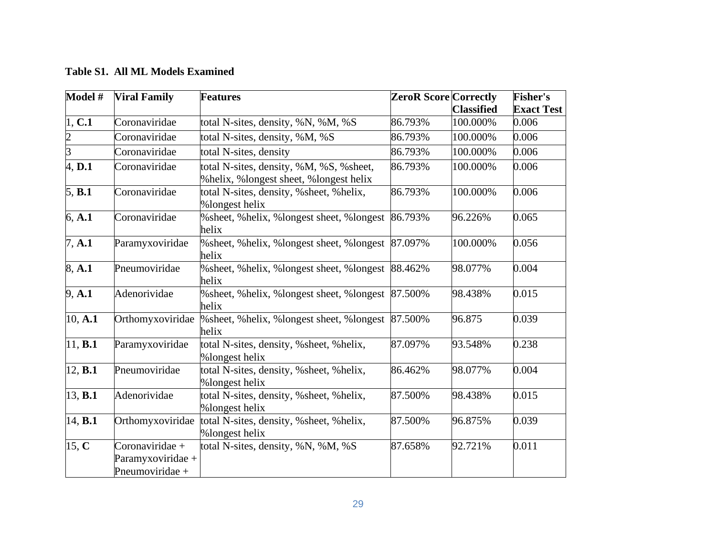| Model #        | <b>Viral Family</b>                                     | <b>Features</b>                                                                      | <b>ZeroR Score Correctly</b> |                   | <b>Fisher's</b>   |
|----------------|---------------------------------------------------------|--------------------------------------------------------------------------------------|------------------------------|-------------------|-------------------|
|                |                                                         |                                                                                      |                              | <b>Classified</b> | <b>Exact Test</b> |
| 1, C.1         | Coronaviridae                                           | total N-sites, density, %N, %M, %S                                                   | 86.793%                      | 100.000%          | 0.006             |
| $\overline{2}$ | Coronaviridae                                           | total N-sites, density, %M, %S                                                       | 86.793%                      | 100.000%          | 0.006             |
| $\overline{3}$ | Coronaviridae                                           | total N-sites, density                                                               | 86.793%                      | 100.000%          | 0.006             |
| 4, D.1         | Coronaviridae                                           | total N-sites, density, %M, %S, %sheet,<br>% helix, % longest sheet, % longest helix | 86.793%                      | 100.000%          | 0.006             |
| 5, B.1         | Coronaviridae                                           | total N-sites, density, % sheet, % helix,<br>%longest helix                          | 86.793%                      | 100.000%          | 0.006             |
| 6, A.1         | Coronaviridae                                           | % sheet, % helix, % longest sheet, % longest<br>helix                                | 86.793%                      | 96.226%           | 0.065             |
| 7, A.1         | Paramyxoviridae                                         | % sheet, % helix, % longest sheet, % longest<br>helix                                | 87.097%                      | 100.000%          | 0.056             |
| 8, A.1         | Pneumoviridae                                           | % sheet, % helix, % longest sheet, % longest<br>helix                                | 88.462%                      | 98.077%           | 0.004             |
| 9, A.1         | Adenorividae                                            | % sheet, % helix, % longest sheet, % longest<br>helix                                | 87.500%                      | 98.438%           | 0.015             |
| 10, A.1        | Orthomyxoviridae                                        | % sheet, % helix, % longest sheet, % longest<br>helix                                | 87.500%                      | 96.875            | 0.039             |
| 11, <b>B.1</b> | Paramyxoviridae                                         | total N-sites, density, % sheet, % helix,<br>%longest helix                          | 87.097%                      | 93.548%           | 0.238             |
| 12, <b>B.1</b> | Pneumoviridae                                           | total N-sites, density, % sheet, % helix,<br>%longest helix                          | 86.462%                      | 98.077%           | 0.004             |
| 13, <b>B.1</b> | Adenorividae                                            | total N-sites, density, % sheet, % helix,<br>%longest helix                          | 87.500%                      | 98.438%           | 0.015             |
| 14, <b>B.1</b> | Orthomyxoviridae                                        | total N-sites, density, % sheet, % helix,<br>%longest helix                          | 87.500%                      | 96.875%           | 0.039             |
| 15, C          | Coronaviridae +<br>Paramyxoviridae +<br>Pneumoviridae + | total N-sites, density, %N, %M, %S                                                   | 87.658%                      | 92.721%           | 0.011             |

**Table S1. All ML Models Examined**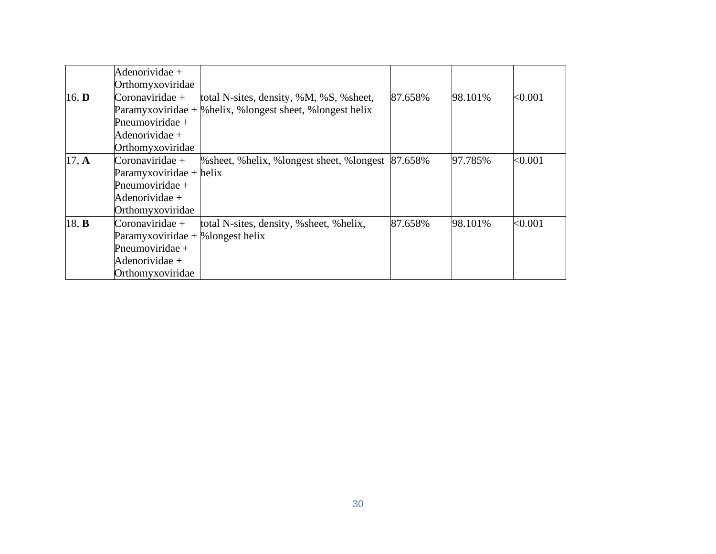|       | Adenorividae +                       |                                                              |         |         |         |
|-------|--------------------------------------|--------------------------------------------------------------|---------|---------|---------|
|       | Orthomyxoviridae                     |                                                              |         |         |         |
| 16, D | Coronaviridae +                      | total N-sites, density, %M, %S, % sheet,                     | 87.658% | 98.101% | < 0.001 |
|       |                                      | Paramyxoviridae + $\%$ helix, %longest sheet, %longest helix |         |         |         |
|       | Pneumoviridae +                      |                                                              |         |         |         |
|       | Adenorividae +                       |                                                              |         |         |         |
|       | Orthomyxoviridae                     |                                                              |         |         |         |
| 17, A | Coronaviridae +                      | % sheet, % helix, % longest sheet, % longest                 | 87.658% | 97.785% | <0.001  |
|       | $Paramyxoviridae + helix$            |                                                              |         |         |         |
|       | Pneumoviridae +                      |                                                              |         |         |         |
|       | Adenorividae +                       |                                                              |         |         |         |
|       | Orthomyxoviridae                     |                                                              |         |         |         |
| 18, B | Coronaviridae +                      | total N-sites, density, % sheet, % helix,                    | 87.658% | 98.101% | < 0.001 |
|       | Paramyxoviridae + $\%$ longest helix |                                                              |         |         |         |
|       | Pneumoviridae +                      |                                                              |         |         |         |
|       | Adenorividae +                       |                                                              |         |         |         |
|       | Orthomyxoviridae                     |                                                              |         |         |         |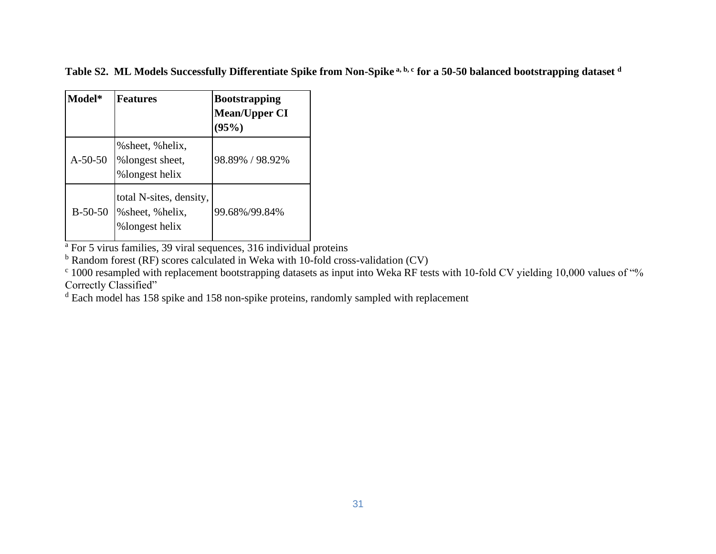**Table S2. ML Models Successfully Differentiate Spike from Non-Spike a, b, c for a 50-50 balanced bootstrapping dataset <sup>d</sup>**

| Model*    | <b>Features</b>                                                | <b>Bootstrapping</b><br><b>Mean/Upper CI</b><br>(95%) |
|-----------|----------------------------------------------------------------|-------------------------------------------------------|
| $A-50-50$ | % sheet, % helix,<br>%longest sheet,<br>%longest helix         | 98.89% / 98.92%                                       |
| $B-50-50$ | total N-sites, density,<br>% sheet, % helix,<br>%longest helix | 99.68%/99.84%                                         |

<sup>a</sup> For 5 virus families, 39 viral sequences, 316 individual proteins

 $b$  Random forest (RF) scores calculated in Weka with 10-fold cross-validation (CV)

<sup>c</sup> 1000 resampled with replacement bootstrapping datasets as input into Weka RF tests with 10-fold CV yielding 10,000 values of "% Correctly Classified"

<sup>d</sup> Each model has 158 spike and 158 non-spike proteins, randomly sampled with replacement